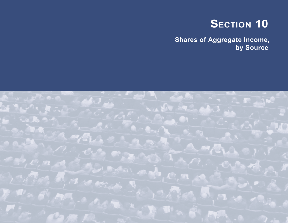# **SECTION 10**

**Shares of Aggregate Income, by Source**

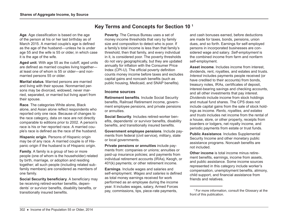**Age**. Age classification is based on the age of the person at his or her last birthday as of March 2015. A married couple's age is defined as the age of the husband—unless he is under age 55 and the wife is 55 or older, in which case it is the age of the wife.

**Aged unit**. With age 55 as the cutoff, aged units are defined as married couples living together at least one of whom is 55 or older—and nonmarried persons 55 or older.

**Marital status**. Married persons are married and living with their spouse. Nonmarried persons may be divorced, widowed, never married, separated, or married but living apart from their spouse.

**Race**. The categories White alone, Black alone, and Asian alone reflect respondents who reported only one race. Because of changes to the race category, data on race are not directly comparable to editions prior to 2002. A person's race is his or her reported race. A married couple's race is defined as the race of the husband.

**Hispanic origin**. Persons of Hispanic origin may be of any race. A married couple is of Hispanic origin if the husband is of Hispanic origin.

**Family**. A family is a group of two or more people (one of whom is the householder) related by birth, marriage, or adoption and residing together; all such people (including related subfamily members) are considered as members of one family.

**Social Security beneficiary**. A beneficiary may be receiving retired-worker benefits, dependents' or survivor benefits, disability benefits, or transitionally insured benefits.

## **Key Terms and Concepts for Section 10 1**

**Poverty**. The Census Bureau uses a set of money income thresholds that vary by family size and composition to detect who is poor. If a family's total income is less than that family's threshold, then that family, and every individual in it, is considered poor. The poverty thresholds do not vary geographically, but they are updated annually for inflation with the Consumer Price Index (CPI-U). The official poverty definition counts money income before taxes and excludes capital gains and noncash benefits (such as public housing, Medicaid, and SNAP benefits).

#### **Income sources**

**Retirement benefits**. Include Social Security benefits, Railroad Retirement income, government employee pensions, and private pensions or annuities.

**Social Security**. Includes retired-worker benefits, dependents' or survivor benefits, disability benefits, and transitionally insured benefits.

**Government employee pensions**. Include payments from federal (civil service), military, state or local governments.

**Private pensions or annuities** include payments from: companies or unions; annuities or paid-up insurance policies; and payments from individual retirement accounts (IRAs), Keogh, or 401(k) payments; or other retirement income.

**Earnings**. Include wages and salaries and self-employment. *Wages and salaries* is defined as total money earnings received for work performed as an employee during the income year. It includes wages, salary, Armed Forces pay, commissions, tips, piece-rate payments,

and cash bonuses earned, before deductions are made for taxes, bonds, pensions, union dues, and so forth. Earnings for self-employed persons in incorporated businesses are considered wage and salary. *Self-employment* is the combined income from farm and nonfarm self-employment.

**Asset income**. Includes income from interest, dividends, rent, royalties, and estates and trusts. *Interest* includes payments people received (or have credited to their accounts) from bonds, treasury notes, IRAs, certificates of deposit, interest-bearing savings and checking accounts, and all other investments that pay interest. *Dividends* include income from stock holdings and mutual fund shares. The CPS does not include capital gains from the sale of stock holdings as income. *Rents, royalties, and estates and trusts* includes net income from the rental of a house, store, or other property, receipts from boarders or lodgers, net royalty income, and periodic payments from estate or trust funds.

**Public Assistance**. Includes Supplemental Security Income and other monetary public assistance programs. Noncash benefits are not included.

**Other income** is total income minus retirement benefits, earnings, income from assets, and public assistance. Some income sources represented in this category include worker's compensation, unemployment benefits, alimony, child support, and financial assistance from friends and relatives.

<sup>1</sup> For more information, consult the Glossary at the front of this publication.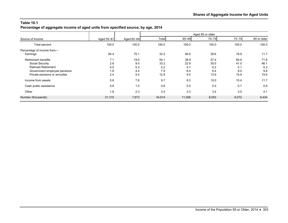**Percentage of aggregate income of aged units from specified source, by age, 2014**

|                               |            |            | Aged 65 or older |        |           |           |             |  |  |  |
|-------------------------------|------------|------------|------------------|--------|-----------|-----------|-------------|--|--|--|
| Source of income              | Aged 55-61 | Aged 62-64 | Total            | 65-69  | $70 - 74$ | $75 - 79$ | 80 or older |  |  |  |
| Total percent                 | 100.0      | 100.0      | 100.0            | 100.0  | 100.0     | 100.0     | 100.0       |  |  |  |
| Percentage of income from-    |            |            |                  |        |           |           |             |  |  |  |
| Earnings                      | 84.4       | 70.1       | 32.2             | 49.0   | 28.6      | 19.9      | 11.7        |  |  |  |
| Retirement benefits           | 7.1        | 19.0       | 54.1             | 38.9   | 57.4      | 65.9      | 71.8        |  |  |  |
| Social Security               | 2.8        | 9.0        | 33.2             | 22.9   | 35.0      | 41.0      | 46.1        |  |  |  |
| <b>Railroad Retirement</b>    | 0.0        | 0.2        | 0.2              | 0.1    | 0.2       | 0.1       | 0.3         |  |  |  |
| Government employee pensions  | 1.8        | 4.4        | 7.9              | 6.4    | 8.4       | 9.0       | 9.8         |  |  |  |
| Private pensions or annuities | 2.4        | 5.4        | 12.8             | 9.5    | 13.9      | 15.9      | 15.6        |  |  |  |
| Income from assets            | 5.8        | 7.6        | 9.7              | 8.3    | 10.0      | 10.4      | 11.7        |  |  |  |
| Cash public assistance        | 0.8        | 1.0        | 0.6              | 0.5    | 0.5       | 0.7       | 0.8         |  |  |  |
| Other                         | 1.8        | 2.3        | 3.4              | 3.3    | 3.4       | 3.0       | 4.1         |  |  |  |
| Number (thousands)            | 21,315     | 7,673      | 34,614           | 11,056 | 8,053     | 6,072     | 9,434       |  |  |  |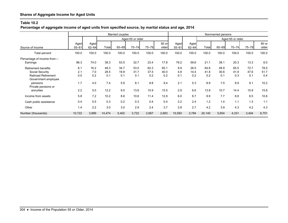**Percentage of aggregate income of aged units from specified source, by marital status and age, 2014**

| Married couples                                                                                    |                   |                    |                     |                     |                     |                     |                     | Nonmarried persons |                     |                     |                     |                     |                     |                     |  |
|----------------------------------------------------------------------------------------------------|-------------------|--------------------|---------------------|---------------------|---------------------|---------------------|---------------------|--------------------|---------------------|---------------------|---------------------|---------------------|---------------------|---------------------|--|
|                                                                                                    |                   |                    | Aged 65 or older    |                     |                     |                     |                     |                    |                     | Aged 65 or older    |                     |                     |                     |                     |  |
| Source of income                                                                                   | Aged<br>$55 - 61$ | Aged<br>$62 - 64$  | Total               | 65-69               | $70 - 74$           | 75-79               | 80 or<br>older      | Aged<br>$55 - 61$  | Aged<br>$62 - 64$   | Total               | 65-69               | $70 - 74$           | 75-79               | 80 or<br>older      |  |
| <b>Total percent</b>                                                                               | 100.0             | 100.0              | 100.0               | 100.0               | 100.0               | 100.0               | 100.0               | 100.0              | 100.0               | 100.0               | 100.0               | 100.0               | 100.0               | 100.0               |  |
| Percentage of income from-<br>Earnings                                                             | 86.3              | 74.0               | 38.3                | 53.5                | 32.7                | 23.4                | 17.8                | 79.2               | 59.6                | 21.1                | 38.1                | 20.3                | 13.3                | 6.0                 |  |
| <b>Retirement benefits</b><br>Social Security<br><b>Railroad Retirement</b><br>Government employee | 6.1<br>2.1<br>0.0 | 16.2<br>7.0<br>0.2 | 48.3<br>28.5<br>0.1 | 34.7<br>19.8<br>0.1 | 53.5<br>31.7<br>0.1 | 62.3<br>37.5<br>0.2 | 65.1<br>40.0<br>0.2 | 9.9<br>4.8<br>0.1  | 26.5<br>14.4<br>0.2 | 64.6<br>41.8<br>0.2 | 48.9<br>30.6<br>0.1 | 65.5<br>41.9<br>0.3 | 72.7<br>47.6<br>0.1 | 78.0<br>51.7<br>0.4 |  |
| pensions<br>Private pensions or<br>annuities                                                       | 1.7<br>2.2        | 4.0<br>5.0         | 7.4<br>12.2         | 5.9<br>9.0          | 8.1<br>13.6         | 8.8<br>15.9         | 9.4<br>15.5         | 2.1<br>2.9         | 5.3<br>6.6          | 8.9<br>13.8         | 7.5<br>10.7         | 8.9<br>14.4         | 9.1<br>15.9         | 10.2<br>15.8        |  |
| Income from assets                                                                                 | 5.8               | 7.2                | 10.2                | 8.6                 | 10.6                | 11.4                | 12.9                | 6.0                | 8.7                 | 8.9                 | 7.7                 | 8.8                 | 8.5                 | 10.6                |  |
| Cash public assistance                                                                             | 0.4               | 0.5                | 0.3                 | 0.2                 | 0.3                 | 0.4                 | 0.4                 | 2.2                | 2.4                 | 1.2                 | 1.4                 | 1.1                 | 1.3                 | 1.1                 |  |
| Other                                                                                              | 1.4               | 2.2                | 3.0                 | 3.0                 | 2.9                 | 2.4                 | 3.7                 | 2.8                | 2.7                 | 4.2                 | 3.9                 | 4.3                 | 4.2                 | 4.3                 |  |
| Number (thousands)                                                                                 | 10,722            | 3,889              | 14,474              | 5,402               | 3,722               | 2,667               | 2,683               | 10,593             | 3,784               | 20,140              | 5,654               | 4,331               | 3,404               | 6,751               |  |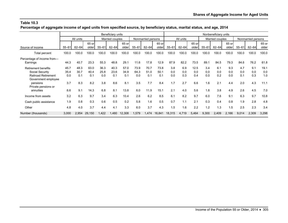**Percentage of aggregate income of aged units from specified source, by beneficiary status, marital status, and age, 2014**

|                                                                                                                | Beneficiary units          |                            |                            |                            |                            |                            |                            |                            |                            |                          | Nonbeneficiary units     |                           |                          |                          |                          |                          |                          |                            |
|----------------------------------------------------------------------------------------------------------------|----------------------------|----------------------------|----------------------------|----------------------------|----------------------------|----------------------------|----------------------------|----------------------------|----------------------------|--------------------------|--------------------------|---------------------------|--------------------------|--------------------------|--------------------------|--------------------------|--------------------------|----------------------------|
|                                                                                                                | All units                  |                            |                            | Married couples            |                            |                            | Nonmarried persons         |                            |                            | All units                |                          |                           | Married couples          |                          |                          | Nonmarried persons       |                          |                            |
| Source of income                                                                                               | $55 - 61$                  | $62 - 64$                  | 65 or<br>older             | $55 - 61$                  | $62 - 64$                  | 65 or<br>older             | $55 - 61$                  | $62 - 64$                  | 65 or<br>older             | $55 - 61$                | $62 - 64$                | 65 or<br>older            | $55 - 61$                | $62 - 64$                | 65 or<br>older           | $55 - 61$                | $62 - 64$                | 65 or<br>older             |
| Total percent                                                                                                  | 100.0                      | 100.0                      | 100.0                      | 100.0                      | 100.0                      | 100.0                      | 100.0                      | 100.0                      | 100.0                      | 100.0                    | 100.0                    | 100.0                     | 100.0                    | 100.0                    | 100.0                    | 100.0                    | 100.0                    | 100.0                      |
| Percentage of income from-<br>Earnings                                                                         | 44.3                       | 40.7                       | 23.3                       | 55.3                       | 48.8                       | 29.1                       | 11.6                       | 17.8                       | 12.9                       | 87.9                     | 82.2                     | 73.5                      | 89.1                     | 84.5                     | 79.3                     | 84.6                     | 76.2                     | 61.8                       |
| <b>Retirement benefits</b><br>Social Security<br><b>Railroad Retirement</b><br>Government employee<br>pensions | 45.7<br>35.4<br>0.0<br>3.7 | 48.3<br>30.7<br>0.1<br>8.3 | 63.0<br>40.4<br>0.1<br>8.2 | 36.3<br>25.8<br>0.0<br>3.8 | 40.3<br>23.6<br>0.1<br>8.6 | 57.0<br>34.9<br>0.1<br>8.1 | 73.9<br>64.3<br>0.0<br>3.5 | 70.7<br>51.0<br>0.1<br>7.7 | 73.8<br>50.1<br>0.1<br>8.4 | 3.8<br>0.0<br>0.0<br>1.7 | 6.9<br>0.0<br>0.3<br>2.7 | 12.5<br>0.0<br>0.4<br>6.6 | 3.4<br>0.0<br>0.0<br>1.6 | 6.1<br>0.0<br>0.2<br>2.1 | 9.3<br>0.0<br>0.0<br>4.4 | 4.7<br>0.0<br>0.1<br>2.0 | 9.1<br>0.0<br>0.3<br>4.3 | 19.1<br>0.0<br>1.0<br>11.1 |
| Private pensions or<br>annuities                                                                               | 6.6                        | 9.1                        | 14.3                       | 6.8                        | 8.1                        | 13.8                       | 6.0                        | 11.9                       | 15.1                       | 2.1                      | 4.0                      | 5.6                       | 1.8                      | 3.8                      | 4.9                      | 2.6                      | 4.5                      | 7.0                        |
| Income from assets                                                                                             | 3.2                        | 6.3                        | 9.7                        | 3.4                        | 6.3                        | 10.4                       | 2.6                        | 6.2                        | 8.5                        | 6.1                      | 8.2                      | 9.7                       | 6.0                      | 7.6                      | 9.1                      | 6.3                      | 9.7                      | 10.8                       |
| Cash public assistance                                                                                         | 1.9                        | 0.8                        | 0.3                        | 0.6                        | 0.5                        | 0.2                        | 5.8                        | 1.6                        | 0.5                        | 0.7                      | 1.1                      | 2.1                       | 0.3                      | 0.4                      | 0.8                      | 1.9                      | 2.8                      | 4.8                        |
| Other                                                                                                          | 4.8                        | 4.0                        | 3.7                        | 4.4                        | 4.1                        | 3.3                        | 6.0                        | 3.7                        | 4.3                        | 1.5                      | 1.6                      | 2.2                       | 1.2                      | 1.3                      | 1.5                      | 2.5                      | 2.3                      | 3.4                        |
| Number (thousands)                                                                                             | 3,000                      | 2,954                      | 29,150                     | 1,422                      | 1.480                      | 12,308                     | 1,579                      | 1,474                      | 16,841                     | 18,315                   | 4,719                    | 5,464                     | 9,300                    | 2,409                    | 2,166                    | 9,014                    | 2,309                    | 3,298                      |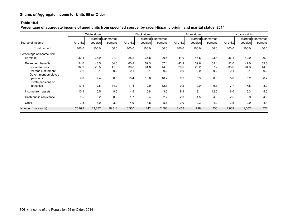**Percentage of aggregate income of aged units from specified source, by race, Hispanic origin, and marital status, 2014**

| White alone                                                                 |                     |                     |                               |                     | <b>Black alone</b>  |                               |                     | Asian alone         |                               | Hispanic origin     |                     |                               |  |
|-----------------------------------------------------------------------------|---------------------|---------------------|-------------------------------|---------------------|---------------------|-------------------------------|---------------------|---------------------|-------------------------------|---------------------|---------------------|-------------------------------|--|
| Source of income                                                            | All units           | couples             | Married Nonmarried<br>persons | All units           | couples             | Married Nonmarried<br>persons | All units           | couples             | Married Nonmarried<br>persons | All units           | couples             | Married Nonmarried<br>persons |  |
| Total percent                                                               | 100.0               | 100.0               | 100.0                         | 100.0               | 100.0               | 100.0                         | 100.0               | 100.0               | 100.0                         | 100.0               | 100.0               | 100.0                         |  |
| Percentage of income from-<br>Earnings                                      | 32.1                | 37.9                | 21.0                          | 28.2                | 37.8                | 20.6                          | 41.0                | 47.5                | 23.8                          | 36.1                | 42.9                | 26.0                          |  |
| <b>Retirement benefits</b><br>Social Security<br><b>Railroad Retirement</b> | 54.0<br>32.9<br>0.2 | 48.5<br>28.5<br>0.1 | 64.6<br>41.6<br>0.2           | 60.8<br>38.8<br>0.1 | 52.3<br>31.8<br>0.1 | 67.4<br>44.3<br>0.2           | 43.9<br>28.6<br>0.0 | 39.6<br>25.2<br>0.0 | 55.4<br>37.2<br>0.2           | 52.0<br>38.6<br>0.1 | 47.0<br>34.3<br>0.1 | 59.3<br>44.9<br>0.2           |  |
| Government employee<br>pensions<br>Private pensions or                      | 7.8<br>13.1         | 7.4<br>12.5         | 8.6<br>14.2                   | 10.4<br>11.5        | 10.6<br>9.9         | 10.2<br>12.7                  | 6.2<br>9.2          | 5.3<br>9.0          | 8.3<br>9.7                    | 5.6<br>7.7          | 5.2<br>7.5          | 6.2                           |  |
| annuities<br>Income from assets                                             | 10.1                | 10.5                | 9.5                           | 4.5                 | 5.8                 | 3.5                           | 9.9                 | 9.1                 | 12.0                          | 6.0                 | 6.3                 | 8.0<br>5.5                    |  |
| Cash public assistance                                                      | 0.5                 | 0.2                 | 0.9                           | 1.7                 | 0.4                 | 2.7                           | 2.3                 | 1.5                 | 4.6                           | 2.5                 | 0.9                 | 4.9                           |  |
| Other                                                                       | 3.3                 | 3.0                 | 3.9                           | 4.9                 | 3.8                 | 5.7                           | 2.9                 | 2.3                 | 4.2                           | 3.5                 | 2.9                 | 4.3                           |  |
| Number (thousands)                                                          | 28,998              | 12,687              | 16,311                        | 3,550               | 842                 | 2,708                         | 1,458               | 728                 | 730                           | 2,838               | 1,067               | 1,771                         |  |